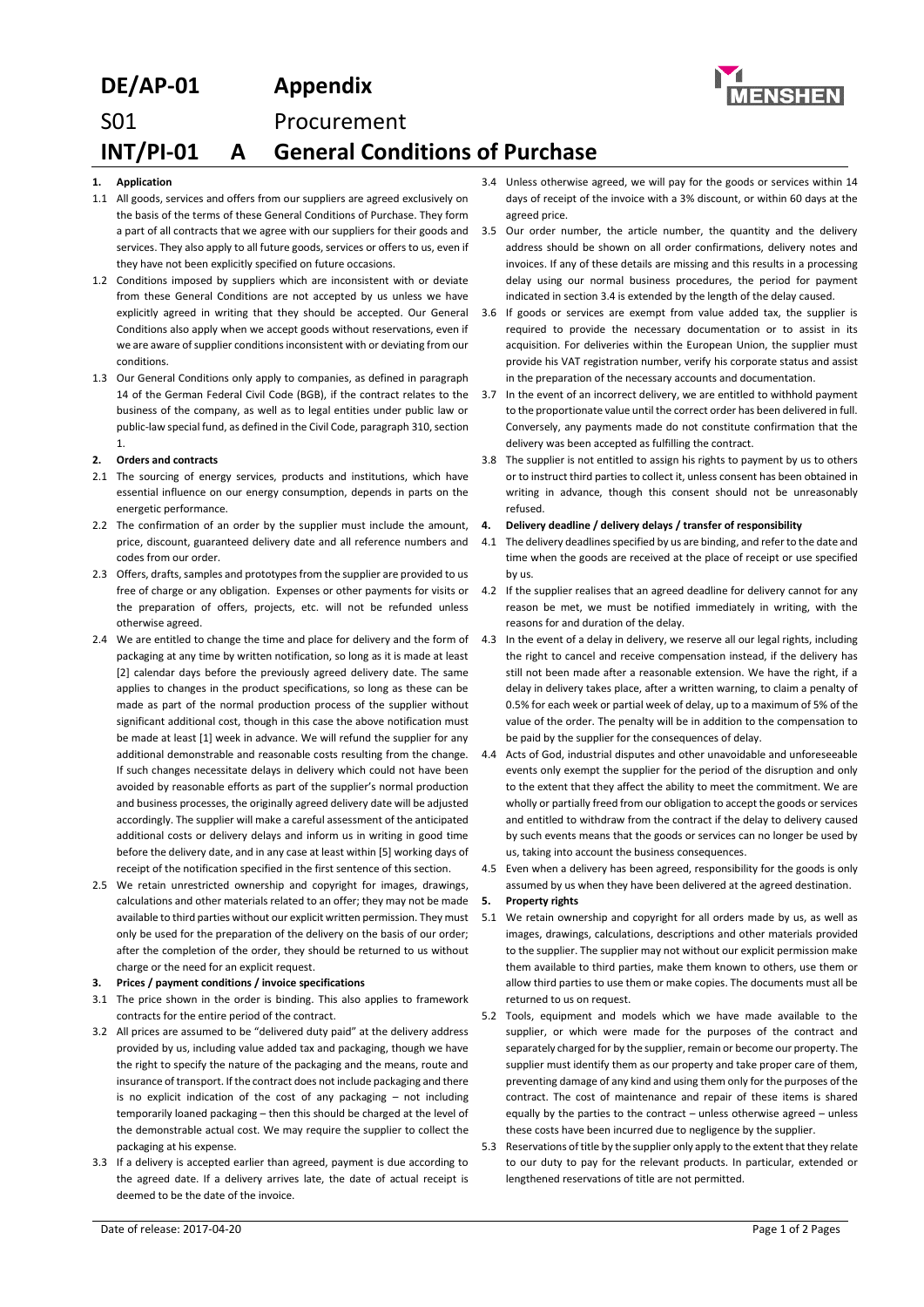# **DE/AP-01 Appendix** S01 Procurement **INT/PI-01 A General Conditions of Purchase**

## **1. Application**

- 1.1 All goods, services and offers from our suppliers are agreed exclusively on the basis of the terms of these General Conditions of Purchase. They form a part of all contracts that we agree with our suppliers for their goods and services. They also apply to all future goods, services or offers to us, even if they have not been explicitly specified on future occasions.
- 1.2 Conditions imposed by suppliers which are inconsistent with or deviate from these General Conditions are not accepted by us unless we have explicitly agreed in writing that they should be accepted. Our General Conditions also apply when we accept goods without reservations, even if we are aware of supplier conditions inconsistent with or deviating from our conditions.
- 1.3 Our General Conditions only apply to companies, as defined in paragraph 14 of the German Federal Civil Code (BGB), if the contract relates to the business of the company, as well as to legal entities under public law or public-law special fund, as defined in the Civil Code, paragraph 310, section 1.

### **2. Orders and contracts**

- 2.1 The sourcing of energy services, products and institutions, which have essential influence on our energy consumption, depends in parts on the energetic performance.
- 2.2 The confirmation of an order by the supplier must include the amount, price, discount, guaranteed delivery date and all reference numbers and codes from our order.
- 2.3 Offers, drafts, samples and prototypes from the supplier are provided to us free of charge or any obligation. Expenses or other payments for visits or the preparation of offers, projects, etc. will not be refunded unless otherwise agreed.
- 2.4 We are entitled to change the time and place for delivery and the form of 4.3 In the event of a delay in delivery, we reserve all our legal rights, including packaging at any time by written notification, so long as it is made at least [2] calendar days before the previously agreed delivery date. The same applies to changes in the product specifications, so long as these can be made as part of the normal production process of the supplier without significant additional cost, though in this case the above notification must be made at least [1] week in advance. We will refund the supplier for any additional demonstrable and reasonable costs resulting from the change. If such changes necessitate delays in delivery which could not have been avoided by reasonable efforts as part of the supplier's normal production and business processes, the originally agreed delivery date will be adjusted accordingly. The supplier will make a careful assessment of the anticipated additional costs or delivery delays and inform us in writing in good time before the delivery date, and in any case at least within [5] working days of receipt of the notification specified in the first sentence of this section.
- 2.5 We retain unrestricted ownership and copyright for images, drawings, calculations and other materials related to an offer; they may not be made available to third parties without our explicit written permission. They must only be used for the preparation of the delivery on the basis of our order; after the completion of the order, they should be returned to us without charge or the need for an explicit request.

### **3. Prices / payment conditions / invoice specifications**

- 3.1 The price shown in the order is binding. This also applies to framework contracts for the entire period of the contract.
- 3.2 All prices are assumed to be "delivered duty paid" at the delivery address provided by us, including value added tax and packaging, though we have the right to specify the nature of the packaging and the means, route and insurance of transport. If the contract does not include packaging and there is no explicit indication of the cost of any packaging – not including temporarily loaned packaging – then this should be charged at the level of the demonstrable actual cost. We may require the supplier to collect the packaging at his expense.
- 3.3 If a delivery is accepted earlier than agreed, payment is due according to the agreed date. If a delivery arrives late, the date of actual receipt is deemed to be the date of the invoice.
- 3.5 Our order number, the article number, the quantity and the delivery address should be shown on all order confirmations, delivery notes and invoices. If any of these details are missing and this results in a processing delay using our normal business procedures, the period for payment indicated in section 3.4 is extended by the length of the delay caused.
- 3.6 If goods or services are exempt from value added tax, the supplier is required to provide the necessary documentation or to assist in its acquisition. For deliveries within the European Union, the supplier must provide his VAT registration number, verify his corporate status and assist in the preparation of the necessary accounts and documentation.
- 3.7 In the event of an incorrect delivery, we are entitled to withhold payment to the proportionate value until the correct order has been delivered in full. Conversely, any payments made do not constitute confirmation that the delivery was been accepted as fulfilling the contract.
- 3.8 The supplier is not entitled to assign his rights to payment by us to others or to instruct third parties to collect it, unless consent has been obtained in writing in advance, though this consent should not be unreasonably refused.

### **4. Delivery deadline / delivery delays / transfer of responsibility**

- 4.1 The delivery deadlines specified by us are binding, and refer to the date and time when the goods are received at the place of receipt or use specified by us.
- 4.2 If the supplier realises that an agreed deadline for delivery cannot for any reason be met, we must be notified immediately in writing, with the reasons for and duration of the delay.
- the right to cancel and receive compensation instead, if the delivery has still not been made after a reasonable extension. We have the right, if a delay in delivery takes place, after a written warning, to claim a penalty of 0.5% for each week or partial week of delay, up to a maximum of 5% of the value of the order. The penalty will be in addition to the compensation to be paid by the supplier for the consequences of delay.
- 4.4 Acts of God, industrial disputes and other unavoidable and unforeseeable events only exempt the supplier for the period of the disruption and only to the extent that they affect the ability to meet the commitment. We are wholly or partially freed from our obligation to accept the goods or services and entitled to withdraw from the contract if the delay to delivery caused by such events means that the goods or services can no longer be used by us, taking into account the business consequences.
- 4.5 Even when a delivery has been agreed, responsibility for the goods is only assumed by us when they have been delivered at the agreed destination.

## **5. Property rights**

- 5.1 We retain ownership and copyright for all orders made by us, as well as images, drawings, calculations, descriptions and other materials provided to the supplier. The supplier may not without our explicit permission make them available to third parties, make them known to others, use them or allow third parties to use them or make copies. The documents must all be returned to us on request.
- 5.2 Tools, equipment and models which we have made available to the supplier, or which were made for the purposes of the contract and separately charged for by the supplier, remain or become our property. The supplier must identify them as our property and take proper care of them. preventing damage of any kind and using them only for the purposes of the contract. The cost of maintenance and repair of these items is shared equally by the parties to the contract – unless otherwise agreed – unless these costs have been incurred due to negligence by the supplier.
- 5.3 Reservations of title by the supplier only apply to the extent that they relate to our duty to pay for the relevant products. In particular, extended or lengthened reservations of title are not permitted.